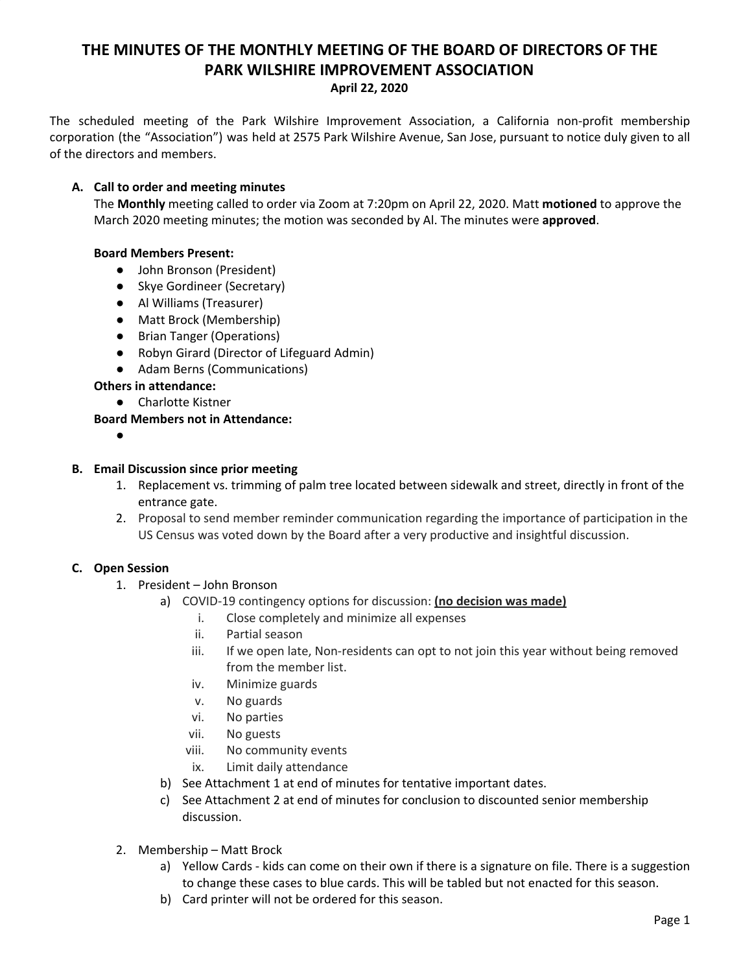# **THE MINUTES OF THE MONTHLY MEETING OF THE BOARD OF DIRECTORS OF THE PARK WILSHIRE IMPROVEMENT ASSOCIATION**

#### **April 22, 2020**

The scheduled meeting of the Park Wilshire Improvement Association, a California non-profit membership corporation (the "Association") was held at 2575 Park Wilshire Avenue, San Jose, pursuant to notice duly given to all of the directors and members.

## **A. Call to order and meeting minutes**

The **Monthly** meeting called to order via Zoom at 7:20pm on April 22, 2020. Matt **motioned** to approve the March 2020 meeting minutes; the motion was seconded by Al. The minutes were **approved**.

# **Board Members Present:**

- John Bronson (President)
- Skye Gordineer (Secretary)
- **●** Al Williams (Treasurer)
- Matt Brock (Membership)
- Brian Tanger (Operations)
- Robyn Girard (Director of Lifeguard Admin)
- Adam Berns (Communications)

## **Others in attendance:**

● Charlotte Kistner

# **Board Members not in Attendance:**

**●**

#### **B. Email Discussion since prior meeting**

- 1. Replacement vs. trimming of palm tree located between sidewalk and street, directly in front of the entrance gate.
- 2. Proposal to send member reminder communication regarding the importance of participation in the US Census was voted down by the Board after a very productive and insightful discussion.

# **C. Open Session**

- 1. President John Bronson
	- a) COVID-19 contingency options for discussion: **(no decision was made)**
		- i. Close completely and minimize all expenses
		- ii. Partial season
		- iii. If we open late, Non-residents can opt to not join this year without being removed from the member list.
		- iv. Minimize guards
		- v. No guards
		- vi. No parties
		- vii. No guests
		- viii. No community events
		- ix. Limit daily attendance
	- b) See Attachment 1 at end of minutes for tentative important dates.
	- c) See Attachment 2 at end of minutes for conclusion to discounted senior membership discussion.
- 2. Membership Matt Brock
	- a) Yellow Cards kids can come on their own if there is a signature on file. There is a suggestion to change these cases to blue cards. This will be tabled but not enacted for this season.
	- b) Card printer will not be ordered for this season.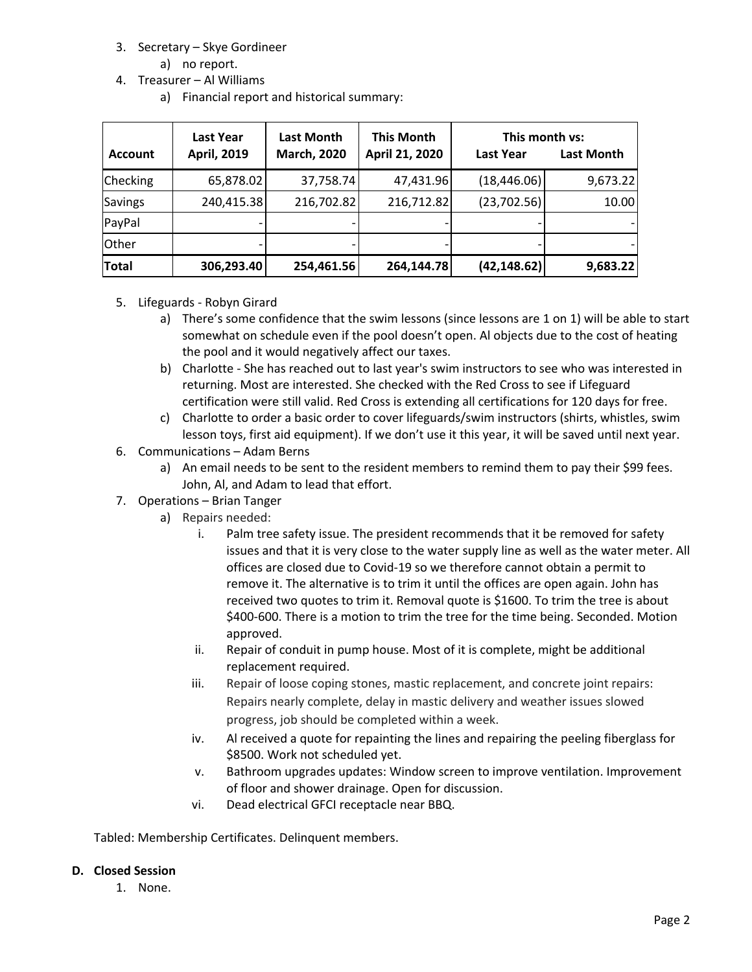- 3. Secretary Skye Gordineer
	- a) no report.
- 4. Treasurer Al Williams
	- a) Financial report and historical summary:

| <b>Account</b>  | <b>Last Year</b><br><b>April, 2019</b> | <b>Last Month</b><br><b>March, 2020</b> | <b>This Month</b><br>April 21, 2020 | This month vs:<br><b>Last Year</b> | <b>Last Month</b> |
|-----------------|----------------------------------------|-----------------------------------------|-------------------------------------|------------------------------------|-------------------|
| <b>Checking</b> | 65,878.02                              | 37,758.74                               | 47,431.96                           | (18, 446.06)                       | 9,673.22          |
| <b>Savings</b>  | 240,415.38                             | 216,702.82                              | 216,712.82                          | (23,702.56)                        | 10.00             |
| PayPal          |                                        |                                         |                                     |                                    |                   |
| Other           |                                        |                                         |                                     |                                    |                   |
| <b>Total</b>    | 306,293.40                             | 254,461.56                              | 264,144.78                          | (42, 148.62)                       | 9,683.22          |

- 5. Lifeguards Robyn Girard
	- a) There's some confidence that the swim lessons (since lessons are 1 on 1) will be able to start somewhat on schedule even if the pool doesn't open. Al objects due to the cost of heating the pool and it would negatively affect our taxes.
	- b) Charlotte She has reached out to last year's swim instructors to see who was interested in returning. Most are interested. She checked with the Red Cross to see if Lifeguard certification were still valid. Red Cross is extending all certifications for 120 days for free.
	- c) Charlotte to order a basic order to cover lifeguards/swim instructors (shirts, whistles, swim lesson toys, first aid equipment). If we don't use it this year, it will be saved until next year.
- 6. Communications Adam Berns
	- a) An email needs to be sent to the resident members to remind them to pay their \$99 fees. John, Al, and Adam to lead that effort.
- 7. Operations Brian Tanger
	- a) Repairs needed:
		- i. Palm tree safety issue. The president recommends that it be removed for safety issues and that it is very close to the water supply line as well as the water meter. All offices are closed due to Covid-19 so we therefore cannot obtain a permit to remove it. The alternative is to trim it until the offices are open again. John has received two quotes to trim it. Removal quote is \$1600. To trim the tree is about \$400-600. There is a motion to trim the tree for the time being. Seconded. Motion approved.
		- ii. Repair of conduit in pump house. Most of it is complete, might be additional replacement required.
		- iii. Repair of loose coping stones, mastic replacement, and concrete joint repairs: Repairs nearly complete, delay in mastic delivery and weather issues slowed progress, job should be completed within a week.
		- iv. Al received a quote for repainting the lines and repairing the peeling fiberglass for \$8500. Work not scheduled yet.
		- v. Bathroom upgrades updates: Window screen to improve ventilation. Improvement of floor and shower drainage. Open for discussion.
		- vi. Dead electrical GFCI receptacle near BBQ.

Tabled: Membership Certificates. Delinquent members.

## **D. Closed Session**

1. None.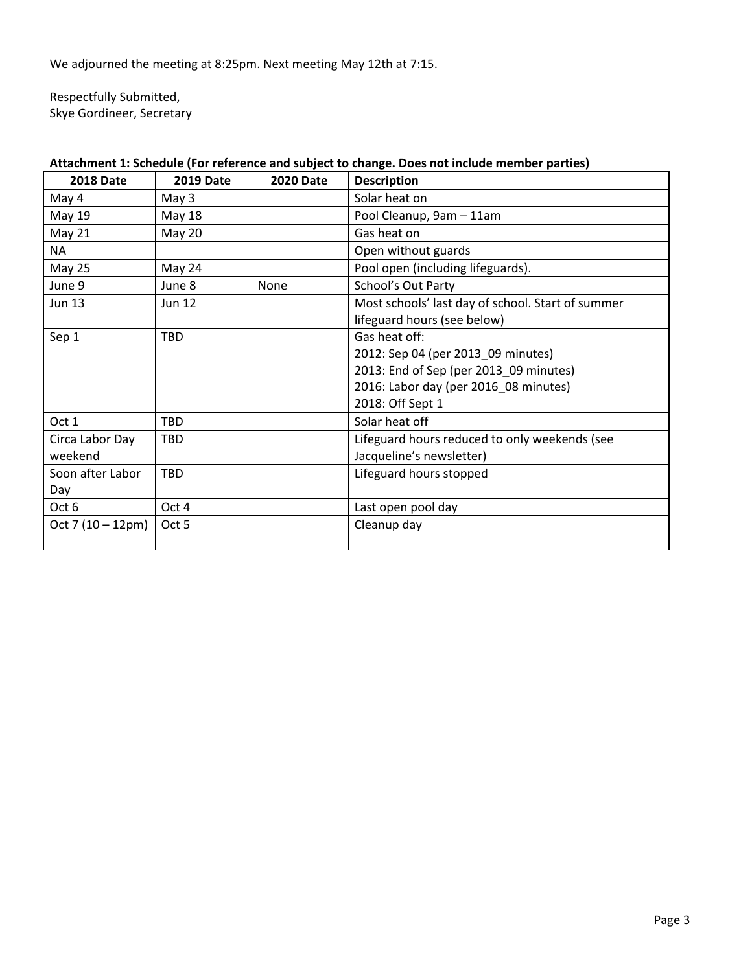We adjourned the meeting at 8:25pm. Next meeting May 12th at 7:15.

Respectfully Submitted, Skye Gordineer, Secretary

| <b>2018 Date</b>           | <b>2019 Date</b> | <b>2020 Date</b> | <b>Description</b>                                                                                                                                         |  |
|----------------------------|------------------|------------------|------------------------------------------------------------------------------------------------------------------------------------------------------------|--|
| May 4                      | May 3            |                  | Solar heat on                                                                                                                                              |  |
| May 19                     | May 18           |                  | Pool Cleanup, 9am - 11am                                                                                                                                   |  |
| <b>May 21</b>              | May 20           |                  | Gas heat on                                                                                                                                                |  |
| NA                         |                  |                  | Open without guards                                                                                                                                        |  |
| May 25                     | May 24           |                  | Pool open (including lifeguards).                                                                                                                          |  |
| June 9                     | June 8           | None             | School's Out Party                                                                                                                                         |  |
| <b>Jun 13</b>              | <b>Jun 12</b>    |                  | Most schools' last day of school. Start of summer<br>lifeguard hours (see below)                                                                           |  |
| Sep 1                      | <b>TBD</b>       |                  | Gas heat off:<br>2012: Sep 04 (per 2013_09 minutes)<br>2013: End of Sep (per 2013_09 minutes)<br>2016: Labor day (per 2016_08 minutes)<br>2018: Off Sept 1 |  |
| Oct 1                      | TBD              |                  | Solar heat off                                                                                                                                             |  |
| Circa Labor Day<br>weekend | TBD              |                  | Lifeguard hours reduced to only weekends (see<br>Jacqueline's newsletter)                                                                                  |  |
| Soon after Labor<br>Day    | <b>TBD</b>       |                  | Lifeguard hours stopped                                                                                                                                    |  |
| Oct 6                      | Oct 4            |                  | Last open pool day                                                                                                                                         |  |
| Oct 7 $(10 - 12pm)$        | Oct 5            |                  | Cleanup day                                                                                                                                                |  |

# **Attachment 1: Schedule (For reference and subject to change. Does not include member parties)**